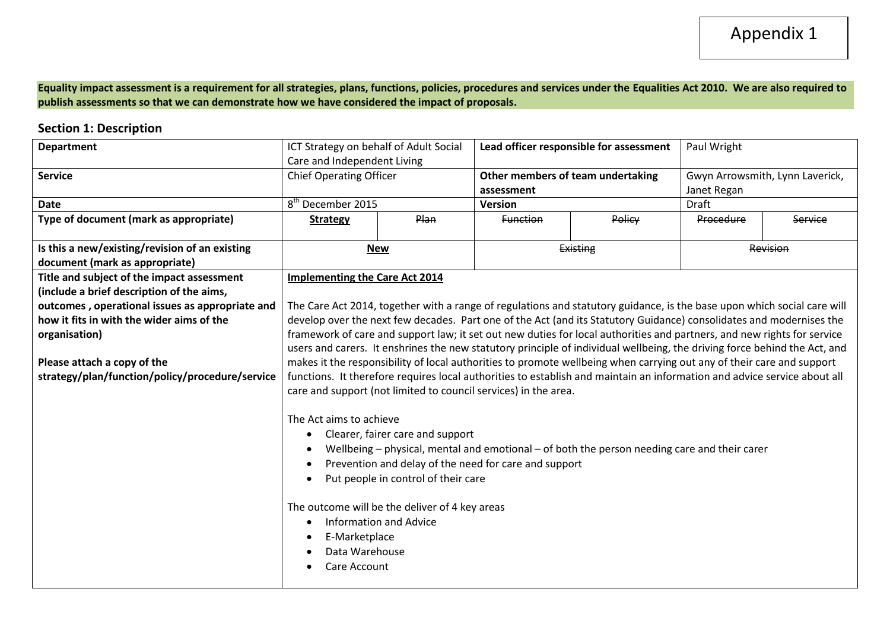**Equality impact assessment is a requirement for all strategies, plans, functions, policies, procedures and services under the Equalities Act 2010. We are also required to publish assessments so that we can demonstrate how we have considered the impact of proposals.** 

# **Section 1: Description**

| <b>Department</b>                               | ICT Strategy on behalf of Adult Social                                                                                   |                                                                 | Lead officer responsible for assessment               |                                                                                                                           | Paul Wright                     |         |
|-------------------------------------------------|--------------------------------------------------------------------------------------------------------------------------|-----------------------------------------------------------------|-------------------------------------------------------|---------------------------------------------------------------------------------------------------------------------------|---------------------------------|---------|
|                                                 | Care and Independent Living                                                                                              |                                                                 |                                                       |                                                                                                                           |                                 |         |
| <b>Service</b>                                  | <b>Chief Operating Officer</b>                                                                                           |                                                                 | Other members of team undertaking                     |                                                                                                                           | Gwyn Arrowsmith, Lynn Laverick, |         |
|                                                 |                                                                                                                          |                                                                 | assessment                                            |                                                                                                                           | Janet Regan                     |         |
| <b>Date</b>                                     | 8 <sup>th</sup> December 2015                                                                                            |                                                                 | <b>Version</b>                                        |                                                                                                                           | <b>Draft</b>                    |         |
| Type of document (mark as appropriate)          | Plan<br><b>Strategy</b>                                                                                                  |                                                                 | <b>Function</b>                                       | Policy                                                                                                                    | Procedure                       | Service |
|                                                 |                                                                                                                          |                                                                 |                                                       |                                                                                                                           |                                 |         |
| Is this a new/existing/revision of an existing  | <b>New</b>                                                                                                               |                                                                 |                                                       | Existing                                                                                                                  | Revision                        |         |
| document (mark as appropriate)                  |                                                                                                                          |                                                                 |                                                       |                                                                                                                           |                                 |         |
| Title and subject of the impact assessment      | <b>Implementing the Care Act 2014</b>                                                                                    |                                                                 |                                                       |                                                                                                                           |                                 |         |
| (include a brief description of the aims,       |                                                                                                                          |                                                                 |                                                       |                                                                                                                           |                                 |         |
| outcomes, operational issues as appropriate and |                                                                                                                          |                                                                 |                                                       | The Care Act 2014, together with a range of regulations and statutory guidance, is the base upon which social care will   |                                 |         |
| how it fits in with the wider aims of the       |                                                                                                                          |                                                                 |                                                       | develop over the next few decades. Part one of the Act (and its Statutory Guidance) consolidates and modernises the       |                                 |         |
| organisation)                                   |                                                                                                                          |                                                                 |                                                       | framework of care and support law; it set out new duties for local authorities and partners, and new rights for service   |                                 |         |
|                                                 |                                                                                                                          |                                                                 |                                                       | users and carers. It enshrines the new statutory principle of individual wellbeing, the driving force behind the Act, and |                                 |         |
| Please attach a copy of the                     | makes it the responsibility of local authorities to promote wellbeing when carrying out any of their care and support    |                                                                 |                                                       |                                                                                                                           |                                 |         |
| strategy/plan/function/policy/procedure/service | functions. It therefore requires local authorities to establish and maintain an information and advice service about all |                                                                 |                                                       |                                                                                                                           |                                 |         |
|                                                 |                                                                                                                          | care and support (not limited to council services) in the area. |                                                       |                                                                                                                           |                                 |         |
|                                                 |                                                                                                                          |                                                                 |                                                       |                                                                                                                           |                                 |         |
|                                                 | The Act aims to achieve                                                                                                  |                                                                 |                                                       |                                                                                                                           |                                 |         |
|                                                 | $\bullet$                                                                                                                | Clearer, fairer care and support                                |                                                       |                                                                                                                           |                                 |         |
|                                                 |                                                                                                                          |                                                                 |                                                       | Wellbeing – physical, mental and emotional – of both the person needing care and their carer                              |                                 |         |
|                                                 |                                                                                                                          |                                                                 | Prevention and delay of the need for care and support |                                                                                                                           |                                 |         |
|                                                 | Put people in control of their care                                                                                      |                                                                 |                                                       |                                                                                                                           |                                 |         |
|                                                 |                                                                                                                          |                                                                 |                                                       |                                                                                                                           |                                 |         |
|                                                 | The outcome will be the deliver of 4 key areas                                                                           |                                                                 |                                                       |                                                                                                                           |                                 |         |
|                                                 | <b>Information and Advice</b>                                                                                            |                                                                 |                                                       |                                                                                                                           |                                 |         |
|                                                 | E-Marketplace                                                                                                            |                                                                 |                                                       |                                                                                                                           |                                 |         |
|                                                 | Data Warehouse                                                                                                           |                                                                 |                                                       |                                                                                                                           |                                 |         |
|                                                 | Care Account                                                                                                             |                                                                 |                                                       |                                                                                                                           |                                 |         |
|                                                 |                                                                                                                          |                                                                 |                                                       |                                                                                                                           |                                 |         |
|                                                 |                                                                                                                          |                                                                 |                                                       |                                                                                                                           |                                 |         |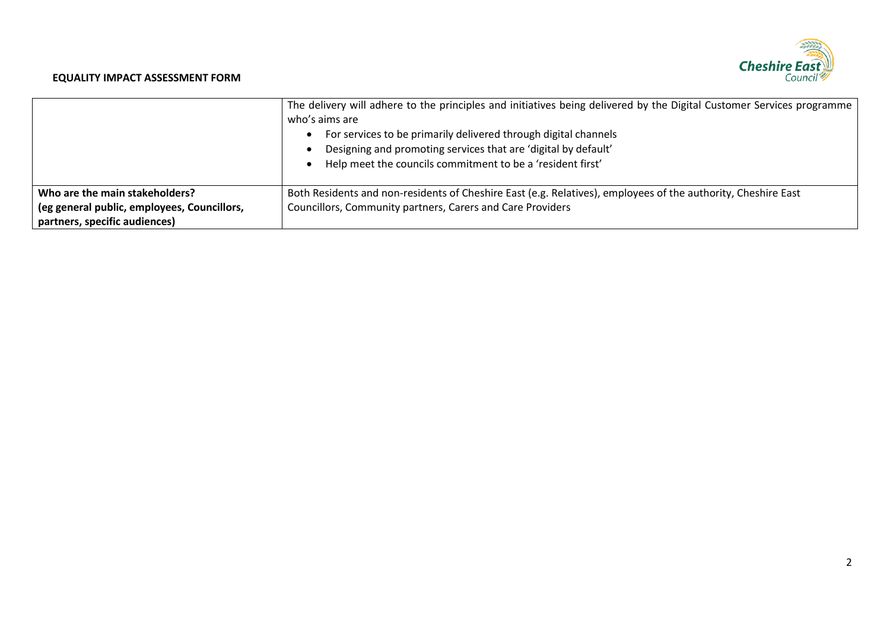# Cheshire East

### **EQUALITY IMPACT ASSESSMENT FORM**

|                                             | The delivery will adhere to the principles and initiatives being delivered by the Digital Customer Services programme<br>who's aims are<br>For services to be primarily delivered through digital channels<br>Designing and promoting services that are 'digital by default'<br>Help meet the councils commitment to be a 'resident first' |
|---------------------------------------------|--------------------------------------------------------------------------------------------------------------------------------------------------------------------------------------------------------------------------------------------------------------------------------------------------------------------------------------------|
| Who are the main stakeholders?              | Both Residents and non-residents of Cheshire East (e.g. Relatives), employees of the authority, Cheshire East                                                                                                                                                                                                                              |
| (eg general public, employees, Councillors, | Councillors, Community partners, Carers and Care Providers                                                                                                                                                                                                                                                                                 |
| partners, specific audiences)               |                                                                                                                                                                                                                                                                                                                                            |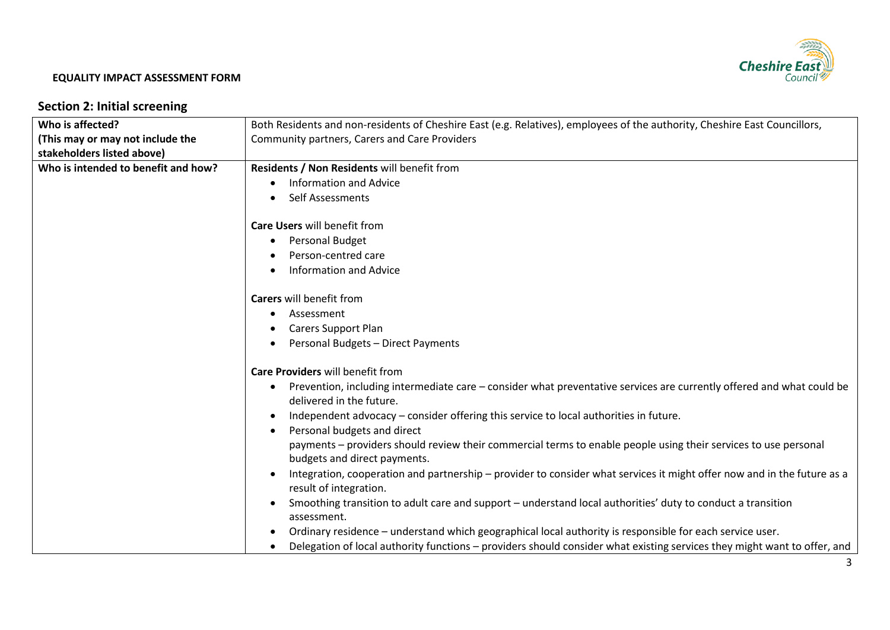

# **Section 2: Initial screening**

| Who is affected?                    | Both Residents and non-residents of Cheshire East (e.g. Relatives), employees of the authority, Cheshire East Councillors,                                     |  |  |  |
|-------------------------------------|----------------------------------------------------------------------------------------------------------------------------------------------------------------|--|--|--|
| (This may or may not include the    | Community partners, Carers and Care Providers                                                                                                                  |  |  |  |
| stakeholders listed above)          |                                                                                                                                                                |  |  |  |
| Who is intended to benefit and how? | Residents / Non Residents will benefit from                                                                                                                    |  |  |  |
|                                     | <b>Information and Advice</b>                                                                                                                                  |  |  |  |
|                                     | Self Assessments                                                                                                                                               |  |  |  |
|                                     | <b>Care Users will benefit from</b>                                                                                                                            |  |  |  |
|                                     | <b>Personal Budget</b><br>$\bullet$                                                                                                                            |  |  |  |
|                                     | Person-centred care                                                                                                                                            |  |  |  |
|                                     | <b>Information and Advice</b>                                                                                                                                  |  |  |  |
|                                     | <b>Carers will benefit from</b>                                                                                                                                |  |  |  |
|                                     | Assessment                                                                                                                                                     |  |  |  |
|                                     | <b>Carers Support Plan</b>                                                                                                                                     |  |  |  |
|                                     | Personal Budgets - Direct Payments                                                                                                                             |  |  |  |
|                                     | Care Providers will benefit from                                                                                                                               |  |  |  |
|                                     | Prevention, including intermediate care – consider what preventative services are currently offered and what could be<br>$\bullet$<br>delivered in the future. |  |  |  |
|                                     |                                                                                                                                                                |  |  |  |
|                                     | Independent advocacy – consider offering this service to local authorities in future.                                                                          |  |  |  |
|                                     | Personal budgets and direct                                                                                                                                    |  |  |  |
|                                     | payments - providers should review their commercial terms to enable people using their services to use personal<br>budgets and direct payments.                |  |  |  |
|                                     | Integration, cooperation and partnership – provider to consider what services it might offer now and in the future as a<br>result of integration.              |  |  |  |
|                                     | Smoothing transition to adult care and support – understand local authorities' duty to conduct a transition<br>assessment.                                     |  |  |  |
|                                     | Ordinary residence - understand which geographical local authority is responsible for each service user.                                                       |  |  |  |
|                                     | Delegation of local authority functions - providers should consider what existing services they might want to offer, and                                       |  |  |  |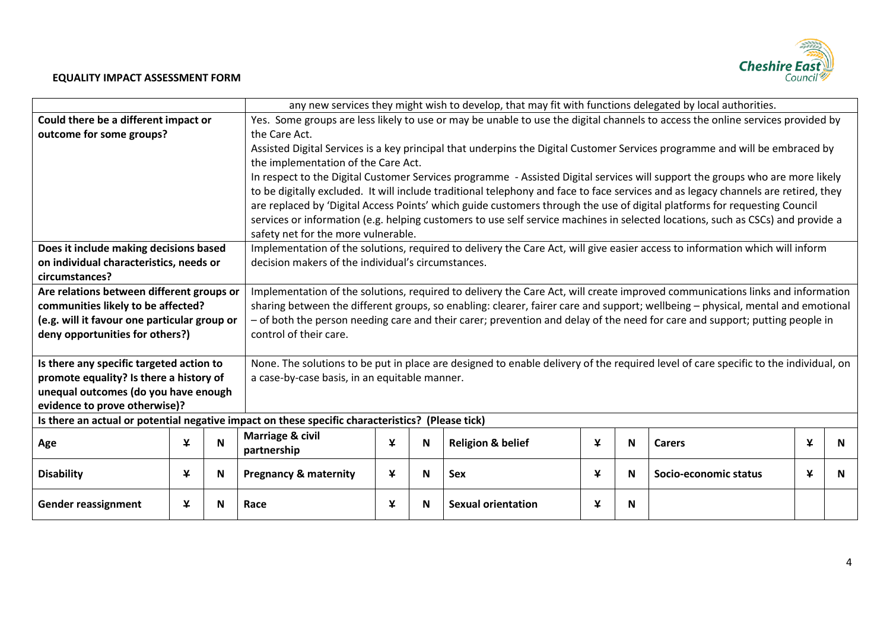

|                                              |                               |    |                                                                                                                                | any new services they might wish to develop, that may fit with functions delegated by local authorities. |          |                              |   |   |                                                                                                                                     |   |    |
|----------------------------------------------|-------------------------------|----|--------------------------------------------------------------------------------------------------------------------------------|----------------------------------------------------------------------------------------------------------|----------|------------------------------|---|---|-------------------------------------------------------------------------------------------------------------------------------------|---|----|
| Could there be a different impact or         |                               |    | Yes. Some groups are less likely to use or may be unable to use the digital channels to access the online services provided by |                                                                                                          |          |                              |   |   |                                                                                                                                     |   |    |
| outcome for some groups?                     | the Care Act.                 |    |                                                                                                                                |                                                                                                          |          |                              |   |   |                                                                                                                                     |   |    |
|                                              |                               |    |                                                                                                                                |                                                                                                          |          |                              |   |   | Assisted Digital Services is a key principal that underpins the Digital Customer Services programme and will be embraced by         |   |    |
|                                              |                               |    |                                                                                                                                | the implementation of the Care Act.                                                                      |          |                              |   |   |                                                                                                                                     |   |    |
|                                              |                               |    |                                                                                                                                |                                                                                                          |          |                              |   |   | In respect to the Digital Customer Services programme - Assisted Digital services will support the groups who are more likely       |   |    |
|                                              |                               |    |                                                                                                                                |                                                                                                          |          |                              |   |   | to be digitally excluded. It will include traditional telephony and face to face services and as legacy channels are retired, they  |   |    |
|                                              |                               |    |                                                                                                                                |                                                                                                          |          |                              |   |   | are replaced by 'Digital Access Points' which guide customers through the use of digital platforms for requesting Council           |   |    |
|                                              |                               |    |                                                                                                                                |                                                                                                          |          |                              |   |   | services or information (e.g. helping customers to use self service machines in selected locations, such as CSCs) and provide a     |   |    |
|                                              |                               |    | safety net for the more vulnerable.                                                                                            |                                                                                                          |          |                              |   |   |                                                                                                                                     |   |    |
| Does it include making decisions based       |                               |    |                                                                                                                                |                                                                                                          |          |                              |   |   | Implementation of the solutions, required to delivery the Care Act, will give easier access to information which will inform        |   |    |
| on individual characteristics, needs or      |                               |    | decision makers of the individual's circumstances.                                                                             |                                                                                                          |          |                              |   |   |                                                                                                                                     |   |    |
| circumstances?                               |                               |    |                                                                                                                                |                                                                                                          |          |                              |   |   |                                                                                                                                     |   |    |
| Are relations between different groups or    |                               |    |                                                                                                                                |                                                                                                          |          |                              |   |   | Implementation of the solutions, required to delivery the Care Act, will create improved communications links and information       |   |    |
| communities likely to be affected?           |                               |    |                                                                                                                                |                                                                                                          |          |                              |   |   | sharing between the different groups, so enabling: clearer, fairer care and support; wellbeing - physical, mental and emotional     |   |    |
| (e.g. will it favour one particular group or |                               |    |                                                                                                                                |                                                                                                          |          |                              |   |   | - of both the person needing care and their carer; prevention and delay of the need for care and support; putting people in         |   |    |
| deny opportunities for others?)              |                               |    | control of their care.                                                                                                         |                                                                                                          |          |                              |   |   |                                                                                                                                     |   |    |
|                                              |                               |    |                                                                                                                                |                                                                                                          |          |                              |   |   |                                                                                                                                     |   |    |
| Is there any specific targeted action to     |                               |    |                                                                                                                                |                                                                                                          |          |                              |   |   | None. The solutions to be put in place are designed to enable delivery of the required level of care specific to the individual, on |   |    |
| promote equality? Is there a history of      |                               |    | a case-by-case basis, in an equitable manner.                                                                                  |                                                                                                          |          |                              |   |   |                                                                                                                                     |   |    |
| unequal outcomes (do you have enough         |                               |    |                                                                                                                                |                                                                                                          |          |                              |   |   |                                                                                                                                     |   |    |
|                                              | evidence to prove otherwise)? |    |                                                                                                                                |                                                                                                          |          |                              |   |   |                                                                                                                                     |   |    |
|                                              |                               |    | Is there an actual or potential negative impact on these specific characteristics? (Please tick)                               |                                                                                                          |          |                              |   |   |                                                                                                                                     |   |    |
| Age                                          | ¥                             | N  | <b>Marriage &amp; civil</b>                                                                                                    | $\mathbf{\mathsf{Y}}$                                                                                    | <b>N</b> | <b>Religion &amp; belief</b> | ¥ | N | <b>Carers</b>                                                                                                                       | ¥ | N  |
|                                              |                               |    | partnership                                                                                                                    |                                                                                                          |          |                              |   |   |                                                                                                                                     |   |    |
| <b>Disability</b>                            | ¥                             | N. | <b>Pregnancy &amp; maternity</b>                                                                                               | ¥                                                                                                        | <b>N</b> | <b>Sex</b>                   | ¥ | N | Socio-economic status                                                                                                               | ¥ | N. |
|                                              |                               |    |                                                                                                                                |                                                                                                          |          |                              |   |   |                                                                                                                                     |   |    |
| <b>Gender reassignment</b>                   | ¥                             | N  | Race                                                                                                                           | ¥                                                                                                        | N        | <b>Sexual orientation</b>    | ¥ | N |                                                                                                                                     |   |    |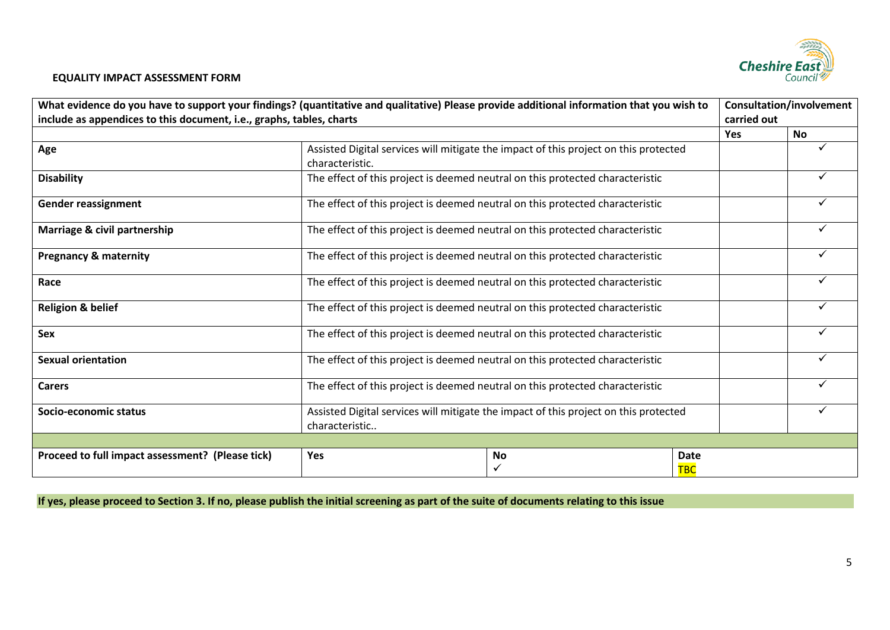

| What evidence do you have to support your findings? (quantitative and qualitative) Please provide additional information that you wish to<br>include as appendices to this document, i.e., graphs, tables, charts |                                                                                                         |                                                                               |                           | <b>Consultation/involvement</b><br>carried out |   |
|-------------------------------------------------------------------------------------------------------------------------------------------------------------------------------------------------------------------|---------------------------------------------------------------------------------------------------------|-------------------------------------------------------------------------------|---------------------------|------------------------------------------------|---|
|                                                                                                                                                                                                                   |                                                                                                         |                                                                               | <b>Yes</b>                | <b>No</b>                                      |   |
| Age                                                                                                                                                                                                               | Assisted Digital services will mitigate the impact of this project on this protected<br>characteristic. |                                                                               |                           |                                                |   |
| <b>Disability</b>                                                                                                                                                                                                 | The effect of this project is deemed neutral on this protected characteristic                           |                                                                               |                           |                                                |   |
| <b>Gender reassignment</b>                                                                                                                                                                                        |                                                                                                         | The effect of this project is deemed neutral on this protected characteristic |                           |                                                |   |
| Marriage & civil partnership                                                                                                                                                                                      |                                                                                                         | The effect of this project is deemed neutral on this protected characteristic |                           |                                                |   |
| <b>Pregnancy &amp; maternity</b>                                                                                                                                                                                  | The effect of this project is deemed neutral on this protected characteristic                           |                                                                               |                           | ✓                                              |   |
| Race                                                                                                                                                                                                              | The effect of this project is deemed neutral on this protected characteristic                           |                                                                               |                           | ✓                                              |   |
| <b>Religion &amp; belief</b>                                                                                                                                                                                      | The effect of this project is deemed neutral on this protected characteristic                           |                                                                               |                           |                                                |   |
| Sex                                                                                                                                                                                                               | The effect of this project is deemed neutral on this protected characteristic                           |                                                                               |                           |                                                | ✓ |
| <b>Sexual orientation</b>                                                                                                                                                                                         | The effect of this project is deemed neutral on this protected characteristic                           |                                                                               |                           |                                                |   |
| <b>Carers</b>                                                                                                                                                                                                     | The effect of this project is deemed neutral on this protected characteristic                           |                                                                               |                           |                                                | ✓ |
| Socio-economic status                                                                                                                                                                                             | Assisted Digital services will mitigate the impact of this project on this protected<br>characteristic  |                                                                               |                           |                                                |   |
| Proceed to full impact assessment? (Please tick)                                                                                                                                                                  | Yes                                                                                                     | No<br>✓                                                                       | <b>Date</b><br><b>TBC</b> |                                                |   |

**If yes, please proceed to Section 3. If no, please publish the initial screening as part of the suite of documents relating to this issue**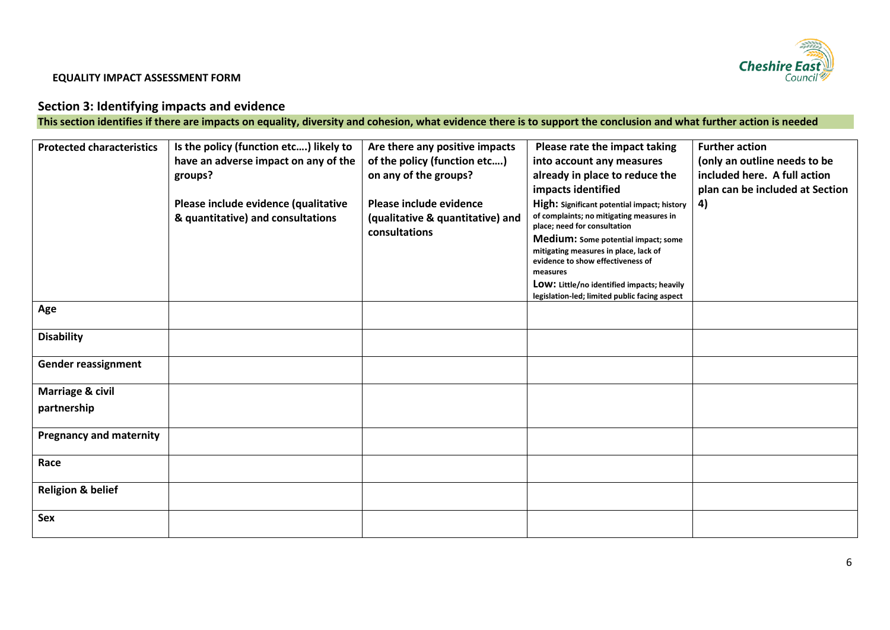

# **Section 3: Identifying impacts and evidence**

**This section identifies if there are impacts on equality, diversity and cohesion, what evidence there is to support the conclusion and what further action is needed**

| <b>Protected characteristics</b> | Is the policy (function etc) likely to | Are there any positive impacts   | Please rate the impact taking                                                | <b>Further action</b>           |
|----------------------------------|----------------------------------------|----------------------------------|------------------------------------------------------------------------------|---------------------------------|
|                                  | have an adverse impact on any of the   | of the policy (function etc)     | into account any measures                                                    | (only an outline needs to be    |
|                                  | groups?                                | on any of the groups?            | already in place to reduce the                                               | included here. A full action    |
|                                  |                                        |                                  | impacts identified                                                           | plan can be included at Section |
|                                  | Please include evidence (qualitative   | Please include evidence          | High: Significant potential impact; history                                  | 4)                              |
|                                  | & quantitative) and consultations      | (qualitative & quantitative) and | of complaints; no mitigating measures in                                     |                                 |
|                                  |                                        | consultations                    | place; need for consultation                                                 |                                 |
|                                  |                                        |                                  | Medium: Some potential impact; some<br>mitigating measures in place, lack of |                                 |
|                                  |                                        |                                  | evidence to show effectiveness of                                            |                                 |
|                                  |                                        |                                  | measures                                                                     |                                 |
|                                  |                                        |                                  | LOW: Little/no identified impacts; heavily                                   |                                 |
|                                  |                                        |                                  | legislation-led; limited public facing aspect                                |                                 |
| Age                              |                                        |                                  |                                                                              |                                 |
| <b>Disability</b>                |                                        |                                  |                                                                              |                                 |
|                                  |                                        |                                  |                                                                              |                                 |
| <b>Gender reassignment</b>       |                                        |                                  |                                                                              |                                 |
|                                  |                                        |                                  |                                                                              |                                 |
| <b>Marriage &amp; civil</b>      |                                        |                                  |                                                                              |                                 |
| partnership                      |                                        |                                  |                                                                              |                                 |
|                                  |                                        |                                  |                                                                              |                                 |
| <b>Pregnancy and maternity</b>   |                                        |                                  |                                                                              |                                 |
|                                  |                                        |                                  |                                                                              |                                 |
| Race                             |                                        |                                  |                                                                              |                                 |
|                                  |                                        |                                  |                                                                              |                                 |
| <b>Religion &amp; belief</b>     |                                        |                                  |                                                                              |                                 |
|                                  |                                        |                                  |                                                                              |                                 |
| Sex                              |                                        |                                  |                                                                              |                                 |
|                                  |                                        |                                  |                                                                              |                                 |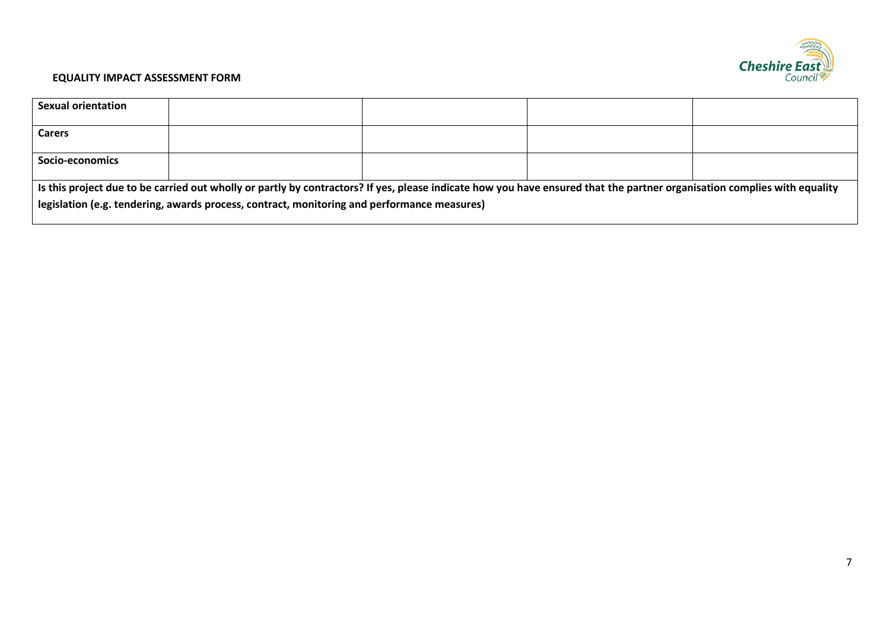

| <b>Sexual orientation</b>                                                                                                                                                                                                                                               |  |  |  |  |  |  |
|-------------------------------------------------------------------------------------------------------------------------------------------------------------------------------------------------------------------------------------------------------------------------|--|--|--|--|--|--|
| <b>Carers</b>                                                                                                                                                                                                                                                           |  |  |  |  |  |  |
| Socio-economics                                                                                                                                                                                                                                                         |  |  |  |  |  |  |
| Is this project due to be carried out wholly or partly by contractors? If yes, please indicate how you have ensured that the partner organisation complies with equality<br>legislation (e.g. tendering, awards process, contract, monitoring and performance measures) |  |  |  |  |  |  |